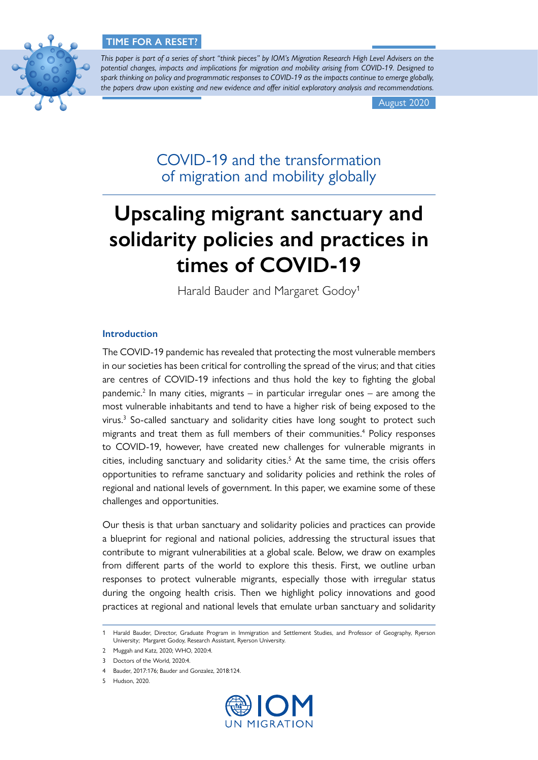# **TIME FOR A RESET?**



*This paper is part of a series of short "think pieces" by IOM's Migration Research High Level Advisers on the potential changes, impacts and implications for migration and mobility arising from COVID-19. Designed to spark thinking on policy and programmatic responses to COVID-19 as the impacts continue to emerge globally, the papers draw upon existing and new evidence and offer initial exploratory analysis and recommendations.*

August 2020

COVID-19 and the transformation of migration and mobility globally

# **Upscaling migrant sanctuary and solidarity policies and practices in times of COVID-19**

Harald Bauder and Margaret Godoy<sup>1</sup>

# **Introduction**

The COVID-19 pandemic has revealed that protecting the most vulnerable members in our societies has been critical for controlling the spread of the virus; and that cities are centres of COVID-19 infections and thus hold the key to fighting the global pandemic.<sup>2</sup> In many cities, migrants – in particular irregular ones – are among the most vulnerable inhabitants and tend to have a higher risk of being exposed to the virus.<sup>3</sup> So-called sanctuary and solidarity cities have long sought to protect such migrants and treat them as full members of their communities.<sup>4</sup> Policy responses to COVID-19, however, have created new challenges for vulnerable migrants in cities, including sanctuary and solidarity cities.<sup>5</sup> At the same time, the crisis offers opportunities to reframe sanctuary and solidarity policies and rethink the roles of regional and national levels of government. In this paper, we examine some of these challenges and opportunities.

Our thesis is that urban sanctuary and solidarity policies and practices can provide a blueprint for regional and national policies, addressing the structural issues that contribute to migrant vulnerabilities at a global scale. Below, we draw on examples from different parts of the world to explore this thesis. First, we outline urban responses to protect vulnerable migrants, especially those with irregular status during the ongoing health crisis. Then we highlight policy innovations and good practices at regional and national levels that emulate urban sanctuary and solidarity



<sup>1</sup> Harald Bauder, Director, Graduate Program in Immigration and Settlement Studies, and Professor of Geography, Ryerson University; Margaret Godoy, Research Assistant, Ryerson University.

<sup>2</sup> Muggah and Katz, 2020; WHO, 2020:4.

<sup>3</sup> Doctors of the World, 2020:4.

<sup>4</sup> Bauder, 2017:176; Bauder and Gonzalez, 2018:124.

<sup>5</sup> Hudson, 2020.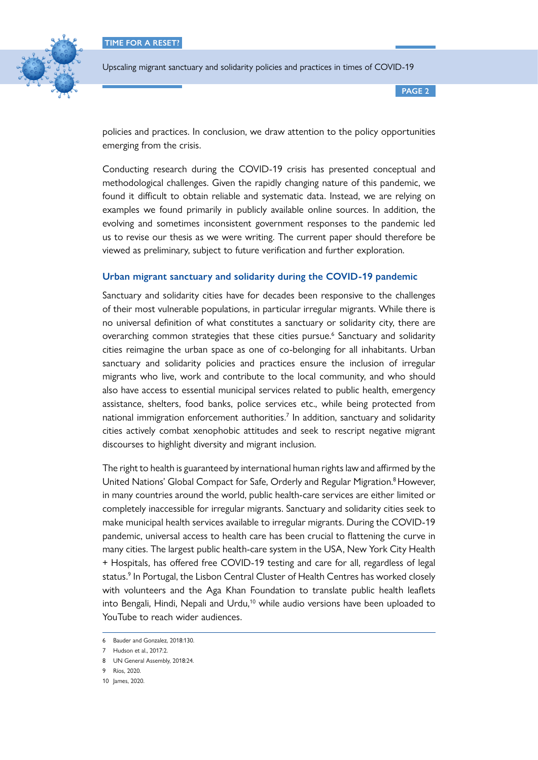

**PAGE 2**

policies and practices. In conclusion, we draw attention to the policy opportunities emerging from the crisis.

Conducting research during the COVID-19 crisis has presented conceptual and methodological challenges. Given the rapidly changing nature of this pandemic, we found it difficult to obtain reliable and systematic data. Instead, we are relying on examples we found primarily in publicly available online sources. In addition, the evolving and sometimes inconsistent government responses to the pandemic led us to revise our thesis as we were writing. The current paper should therefore be viewed as preliminary, subject to future verification and further exploration.

# **Urban migrant sanctuary and solidarity during the COVID-19 pandemic**

Sanctuary and solidarity cities have for decades been responsive to the challenges of their most vulnerable populations, in particular irregular migrants. While there is no universal definition of what constitutes a sanctuary or solidarity city, there are overarching common strategies that these cities pursue.<sup>6</sup> Sanctuary and solidarity cities reimagine the urban space as one of co-belonging for all inhabitants. Urban sanctuary and solidarity policies and practices ensure the inclusion of irregular migrants who live, work and contribute to the local community, and who should also have access to essential municipal services related to public health, emergency assistance, shelters, food banks, police services etc., while being protected from national immigration enforcement authorities.<sup>7</sup> In addition, sanctuary and solidarity cities actively combat xenophobic attitudes and seek to rescript negative migrant discourses to highlight diversity and migrant inclusion.

The right to health is guaranteed by international human rights law and affirmed by the United Nations' [Global Compact for Safe, Orderly and Regular Migration](https://www.un.org/en/ga/search/view_doc.asp?symbol=A/RES/73/195). <sup>8</sup> However, in many countries around the world, public health-care services are either limited or completely inaccessible for irregular migrants. Sanctuary and solidarity cities seek to make municipal health services available to irregular migrants. During the COVID-19 pandemic, universal access to health care has been crucial to flattening the curve in many cities. The largest public health-care system in the USA, New York City Health + Hospitals, has offered free COVID-19 testing and care for all, regardless of legal status.<sup>9</sup> In Portugal, the Lisbon Central Cluster of Health Centres has worked closely with volunteers and the Aga Khan Foundation to translate public health leaflets into Bengali, Hindi, Nepali and Urdu,<sup>10</sup> while audio versions have been uploaded to YouTube to reach wider audiences.

<sup>6</sup> Bauder and Gonzalez, 2018:130.

<sup>7</sup> Hudson et al., 2017:2.

<sup>8</sup> UN General Assembly, 2018:24.

<sup>9</sup> Ríos, 2020.

<sup>10</sup> James, 2020.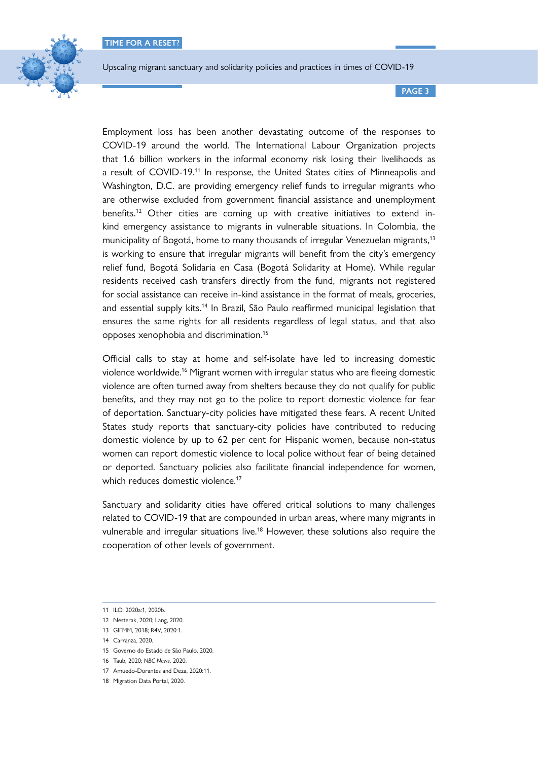

**PAGE 3**

Employment loss has been another devastating outcome of the responses to COVID-19 around the world. The International Labour Organization projects that 1.6 billion workers in the informal economy risk losing their livelihoods as a result of COVID-19.<sup>11</sup> In response, the United States cities of Minneapolis and Washington, D.C. are providing emergency relief funds to irregular migrants who are otherwise excluded from government financial assistance and unemployment benefits.<sup>12</sup> Other cities are coming up with creative initiatives to extend inkind emergency assistance to migrants in vulnerable situations. In Colombia, the municipality of Bogotá, home to many thousands of irregular Venezuelan migrants,<sup>13</sup> is working to ensure that irregular migrants will benefit from the city's emergency relief fund, Bogotá Solidaria en Casa (Bogotá Solidarity at Home). While regular residents received cash transfers directly from the fund, migrants not registered for social assistance can receive in-kind assistance in the format of meals, groceries, and essential supply kits.<sup>14</sup> In Brazil, São Paulo reaffirmed municipal legislation that ensures the same rights for all residents regardless of legal status, and that also opposes xenophobia and discrimination.15

Official calls to stay at home and self-isolate have led to increasing domestic violence worldwide.16 Migrant women with irregular status who are fleeing domestic violence are often turned away from shelters because they do not qualify for public benefits, and they may not go to the police to report domestic violence for fear of deportation. Sanctuary-city policies have mitigated these fears. A recent United States study reports that sanctuary-city policies have contributed to reducing domestic violence by up to 62 per cent for Hispanic women, because non-status women can report domestic violence to local police without fear of being detained or deported. Sanctuary policies also facilitate financial independence for women, which reduces domestic violence.<sup>17</sup>

Sanctuary and solidarity cities have offered critical solutions to many challenges related to COVID-19 that are compounded in urban areas, where many migrants in vulnerable and irregular situations live.<sup>18</sup> However, these solutions also require the cooperation of other levels of government.

<sup>11</sup> ILO, 2020a:1, 2020b.

<sup>12</sup> Nesterak, 2020; Lang, 2020.

<sup>13</sup> GIFMM, 2018; R4V, 2020:1.

<sup>14</sup> Carranza, 2020.

<sup>15</sup> Governo do Estado de São Paulo, 2020.

<sup>16</sup> Taub, 2020; *NBC News*, 2020.

<sup>17</sup> Amuedo-Dorantes and Deza, 2020:11.

<sup>18</sup> Migration Data Portal, 2020.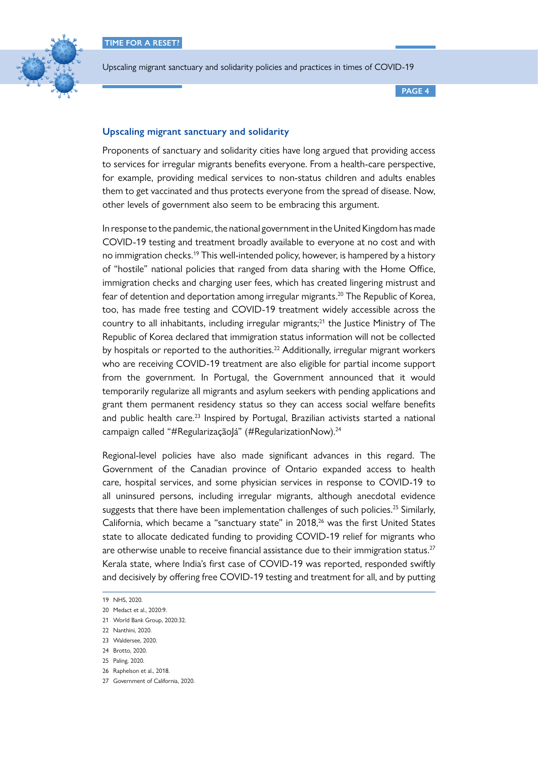

**PAGE 4**

# **Upscaling migrant sanctuary and solidarity**

Proponents of sanctuary and solidarity cities have long argued that providing access to services for irregular migrants benefits everyone. From a health-care perspective, for example, providing medical services to non-status children and adults enables them to get vaccinated and thus protects everyone from the spread of disease. Now, other levels of government also seem to be embracing this argument.

In response to the pandemic, the national government in the United Kingdom has made COVID-19 testing and treatment broadly available to everyone at no cost and with no immigration checks.19 This well-intended policy, however, is hampered by a history of "hostile" national policies that ranged from data sharing with the Home Office, immigration checks and charging user fees, which has created lingering mistrust and fear of detention and deportation among irregular migrants.<sup>20</sup> The Republic of Korea, too, has made free testing and COVID-19 treatment widely accessible across the country to all inhabitants, including irregular migrants; $^{21}$  the Justice Ministry of The Republic of Korea declared that immigration status information will not be collected by hospitals or reported to the authorities.<sup>22</sup> Additionally, irregular migrant workers who are receiving COVID-19 treatment are also eligible for partial income support from the government. In Portugal, the Government announced that it would temporarily regularize all migrants and asylum seekers with pending applications and grant them permanent residency status so they can access social welfare benefits and public health care. $^{23}$  Inspired by Portugal, Brazilian activists started a national campaign called "#RegularizaçãoJá" (#RegularizationNow).<sup>24</sup>

Regional-level policies have also made significant advances in this regard. The Government of the Canadian province of Ontario expanded access to health care, hospital services, and some physician services in response to COVID-19 to all uninsured persons, including irregular migrants, although anecdotal evidence suggests that there have been implementation challenges of such policies.<sup>25</sup> Similarly, California, which became a "sanctuary state" in 2018,<sup>26</sup> was the first United States state to allocate dedicated funding to providing COVID-19 relief for migrants who are otherwise unable to receive financial assistance due to their immigration status. $27$ Kerala state, where India's first case of COVID-19 was reported, responded swiftly and decisively by offering free COVID-19 testing and treatment for all, and by putting

24 Brotto, 2020.

<sup>19</sup> NHS, 2020.

<sup>20</sup> Medact et al., 2020:9.

<sup>21</sup> World Bank Group, 2020:32.

<sup>22</sup> Nanthini, 2020.

<sup>23</sup> Waldersee, 2020.

<sup>25</sup> Paling, 2020.

<sup>26</sup> Raphelson et al., 2018.

<sup>27</sup> Government of California, 2020.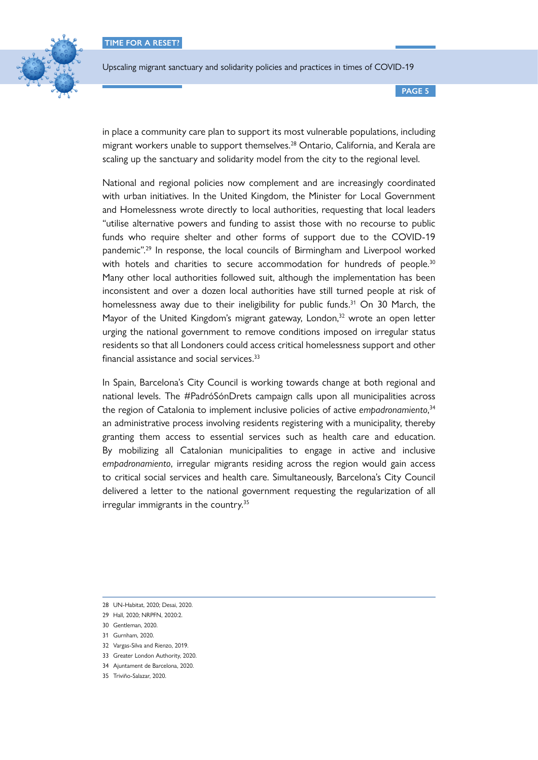

**PAGE 5**

in place a community care plan to support its most vulnerable populations, including migrant workers unable to support themselves.<sup>28</sup> Ontario, California, and Kerala are scaling up the sanctuary and solidarity model from the city to the regional level.

National and regional policies now complement and are increasingly coordinated with urban initiatives. In the United Kingdom, the Minister for Local Government and Homelessness wrote directly to local authorities, requesting that local leaders "utilise alternative powers and funding to assist those with no recourse to public funds who require shelter and other forms of support due to the COVID-19 pandemic".29 In response, the local councils of Birmingham and Liverpool worked with hotels and charities to secure accommodation for hundreds of people.<sup>30</sup> Many other local authorities followed suit, although the implementation has been inconsistent and over a dozen local authorities have still turned people at risk of homelessness away due to their ineligibility for public funds.<sup>31</sup> On 30 March, the Mayor of the United Kingdom's migrant gateway, London,<sup>32</sup> wrote an open letter urging the national government to remove conditions imposed on irregular status residents so that all Londoners could access critical homelessness support and other financial assistance and social services.<sup>33</sup>

In Spain, Barcelona's City Council is working towards change at both regional and national levels. The #PadróSónDrets campaign calls upon all municipalities across the region of Catalonia to implement inclusive policies of active *empadronamiento*, 34 an administrative process involving residents registering with a municipality, thereby granting them access to essential services such as health care and education. By mobilizing all Catalonian municipalities to engage in active and inclusive *empadronamiento*, irregular migrants residing across the region would gain access to critical social services and health care. Simultaneously, Barcelona's City Council delivered a letter to the national government requesting the regularization of all irregular immigrants in the country.35

- 31 Gurnham, 2020.
- 32 Vargas-Silva and Rienzo, 2019.
- 33 Greater London Authority, 2020.
- 34 Ajuntament de Barcelona, 2020.
- 35 Triviño-Salazar, 2020.

<sup>28</sup> UN-Habitat, 2020; Desai, 2020.

<sup>29</sup> Hall, 2020; NRPFN, 2020:2.

<sup>30</sup> Gentleman, 2020.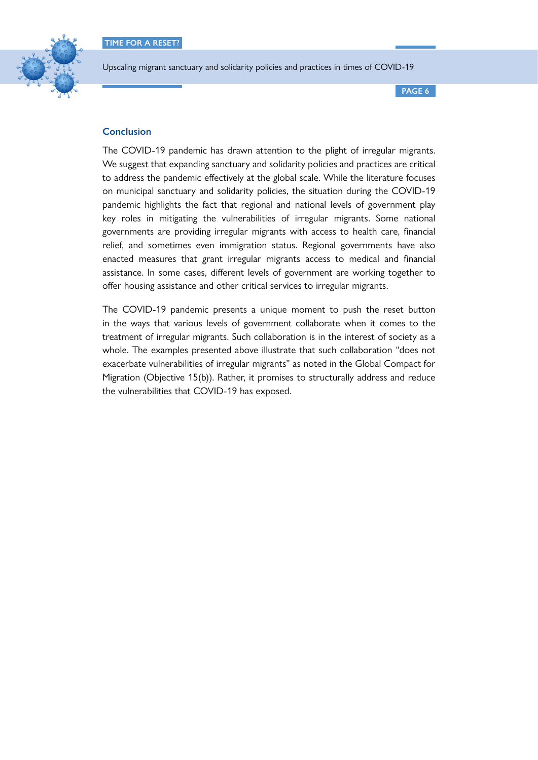

**PAGE 6**

# **Conclusion**

The COVID-19 pandemic has drawn attention to the plight of irregular migrants. We suggest that expanding sanctuary and solidarity policies and practices are critical to address the pandemic effectively at the global scale. While the literature focuses on municipal sanctuary and solidarity policies, the situation during the COVID-19 pandemic highlights the fact that regional and national levels of government play key roles in mitigating the vulnerabilities of irregular migrants. Some national governments are providing irregular migrants with access to health care, financial relief, and sometimes even immigration status. Regional governments have also enacted measures that grant irregular migrants access to medical and financial assistance. In some cases, different levels of government are working together to offer housing assistance and other critical services to irregular migrants.

The COVID-19 pandemic presents a unique moment to push the reset button in the ways that various levels of government collaborate when it comes to the treatment of irregular migrants. Such collaboration is in the interest of society as a whole. The examples presented above illustrate that such collaboration "does not exacerbate vulnerabilities of irregular migrants" as noted in the [Global Compact for](https://www.un.org/en/ga/search/view_doc.asp?symbol=A/RES/73/195)  [Migration](https://www.un.org/en/ga/search/view_doc.asp?symbol=A/RES/73/195) (Objective 15(b)). Rather, it promises to structurally address and reduce the vulnerabilities that COVID-19 has exposed.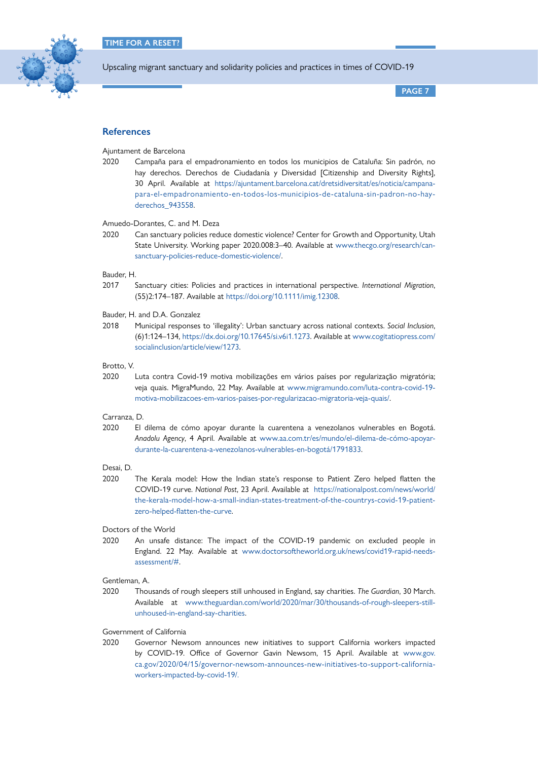

**PAGE 7**

# **References**

Ajuntament de Barcelona

2020 Campaña para el empadronamiento en todos los municipios de Cataluña: Sin padrón, no hay derechos. Derechos de Ciudadanía y Diversidad [Citizenship and Diversity Rights], 30 April. Available at [https://ajuntament.barcelona.cat/dretsidiversitat/es/noticia/campana](https://ajuntament.barcelona.cat/dretsidiversitat/es/noticia/campana-para-el-empadronamiento-en-todos-los-municipios-de-cataluna-sin-padron-no-hay-derechos_943558)[para-el-empadronamiento-en-todos-los-municipios-de-cataluna-sin-padron-no-hay](https://ajuntament.barcelona.cat/dretsidiversitat/es/noticia/campana-para-el-empadronamiento-en-todos-los-municipios-de-cataluna-sin-padron-no-hay-derechos_943558)derechos 943558.

Amuedo-Dorantes, C. and M. Deza

2020 Can sanctuary policies reduce domestic violence? Center for Growth and Opportunity, Utah State University. Working paper 2020.008:3–40. Available at [www.thecgo.org/research/can](http://www.thecgo.org/research/can-sanctuary-policies-reduce-domestic-violence/)[sanctuary-policies-reduce-domestic-violence/](http://www.thecgo.org/research/can-sanctuary-policies-reduce-domestic-violence/).

#### Bauder, H.

2017 Sanctuary cities: Policies and practices in international perspective. *International Migration*, (55)2:174–187. Available at<https://doi.org/10.1111/imig.12308>.

Bauder, H. and D.A. Gonzalez

2018 Municipal responses to 'illegality': Urban sanctuary across national contexts. *Social Inclusion*, (6)1:124–134,<https://dx.doi.org/10.17645/si.v6i1.1273>. Available at [www.cogitatiopress.com/](http://www.cogitatiopress.com/socialinclusion/article/view/1273) [socialinclusion/article/view/1273.](http://www.cogitatiopress.com/socialinclusion/article/view/1273)

#### Brotto, V.

2020 Luta contra Covid-19 motiva mobilizações em vários países por regularização migratória; veja quais. MigraMundo, 22 May. Available at [www.migramundo.com/luta-contra-covid-19](http://www.migramundo.com/luta-contra-covid-19-motiva-mobilizacoes-em-varios-paises-por-regularizacao-migratoria-veja-quais/) [motiva-mobilizacoes-em-varios-paises-por-regularizacao-migratoria-veja-quais/](http://www.migramundo.com/luta-contra-covid-19-motiva-mobilizacoes-em-varios-paises-por-regularizacao-migratoria-veja-quais/).

#### Carranza, D.

2020 El dilema de cómo apoyar durante la cuarentena a venezolanos vulnerables en Bogotá. *Anadolu Agency*, 4 April. Available at [www.aa.com.tr/es/mundo/el-dilema-de-cómo-apoyar](http://www.aa.com.tr/es/mundo/el-dilema-de-cómo-apoyar-durante-la-cuarentena-a-venezolanos-vulnerables-en-bogotá/1791833)[durante-la-cuarentena-a-venezolanos-vulnerables-en-bogotá/1791833.](http://www.aa.com.tr/es/mundo/el-dilema-de-cómo-apoyar-durante-la-cuarentena-a-venezolanos-vulnerables-en-bogotá/1791833)

#### Desai, D.

2020 The Kerala model: How the Indian state's response to Patient Zero helped flatten the COVID-19 curve. *National Post*, 23 April. Available at [https://nationalpost.com/news/world/](https://nationalpost.com/news/world/the-kerala-model-how-a-small-indian-states-treatment-of-the-countrys-covid-19-patient-zero-helped-flatten-the-curve) [the-kerala-model-how-a-small-indian-states-treatment-of-the-countrys-covid-19-patient](https://nationalpost.com/news/world/the-kerala-model-how-a-small-indian-states-treatment-of-the-countrys-covid-19-patient-zero-helped-flatten-the-curve)[zero-helped-flatten-the-curve](https://nationalpost.com/news/world/the-kerala-model-how-a-small-indian-states-treatment-of-the-countrys-covid-19-patient-zero-helped-flatten-the-curve).

## Doctors of the World

2020 An unsafe distance: The impact of the COVID-19 pandemic on excluded people in England. 22 May. Available at [www.doctorsoftheworld.org.uk/news/covid19-rapid-needs](http://www.doctorsoftheworld.org.uk/news/covid19-rapid-needs-assessment/#)[assessment/#](http://www.doctorsoftheworld.org.uk/news/covid19-rapid-needs-assessment/#).

#### Gentleman, A.

2020 Thousands of rough sleepers still unhoused in England, say charities. *The Guardian*, 30 March. Available at [www.theguardian.com/world/2020/mar/30/thousands-of-rough-sleepers-still](http://www.theguardian.com/world/2020/mar/30/thousands-of-rough-sleepers-still-unhoused-in-england-say-charities)[unhoused-in-england-say-charities](http://www.theguardian.com/world/2020/mar/30/thousands-of-rough-sleepers-still-unhoused-in-england-say-charities).

### Government of California

2020 Governor Newsom announces new initiatives to support California workers impacted by COVID-19. Office of Governor Gavin Newsom, 15 April. Available at [www.gov.](http://www.gov.ca.gov/2020/04/15/governor-newsom-announces-new-initiatives-to-support-california-workers-impacted-by-covid-19/) [ca.gov/2020/04/15/governor-newsom-announces-new-initiatives-to-support-california](http://www.gov.ca.gov/2020/04/15/governor-newsom-announces-new-initiatives-to-support-california-workers-impacted-by-covid-19/)[workers-impacted-by-covid-19/.](http://www.gov.ca.gov/2020/04/15/governor-newsom-announces-new-initiatives-to-support-california-workers-impacted-by-covid-19/)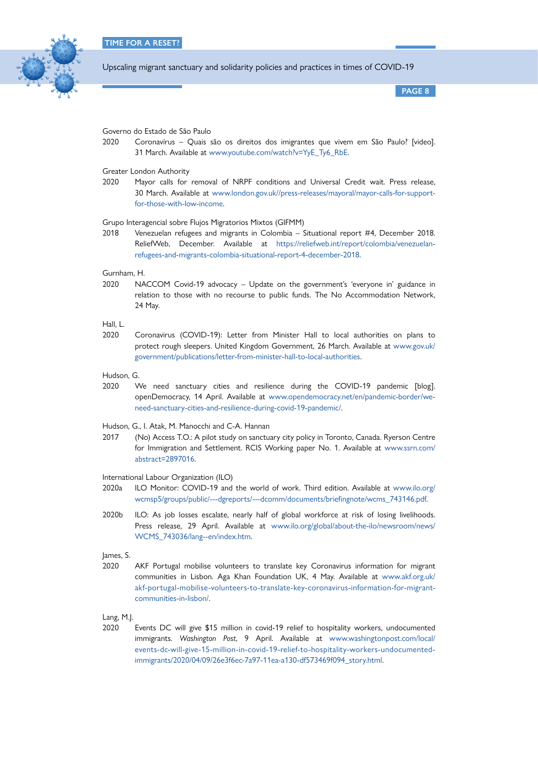

**PAGE 8**

Governo do Estado de São Paulo

2020 Coronavírus – Quais são os direitos dos imigrantes que vivem em São Paulo? [video]. 31 March. Available at [www.youtube.com/watch?v=YyE\\_Ty6\\_RbE.](http://www.youtube.com/watch?v=YyE_Ty6_RbE)

Greater London Authority

2020 Mayor calls for removal of NRPF conditions and Universal Credit wait. Press release, 30 March. Available at [www.london.gov.uk//press-releases/mayoral/mayor-calls-for-support](http://www.london.gov.uk//press-releases/mayoral/mayor-calls-for-support-for-those-with-low-income)[for-those-with-low-income.](http://www.london.gov.uk//press-releases/mayoral/mayor-calls-for-support-for-those-with-low-income)

Grupo Interagencial sobre Flujos Migratorios Mixtos (GIFMM)

2018 Venezuelan refugees and migrants in Colombia – Situational report #4, December 2018. ReliefWeb, December. Available at [https://reliefweb.int/report/colombia/venezuelan](https://reliefweb.int/report/colombia/venezuelan-refugees-and-migrants-colombia-situational-report-4-december-2018)[refugees-and-migrants-colombia-situational-report-4-december-2018.](https://reliefweb.int/report/colombia/venezuelan-refugees-and-migrants-colombia-situational-report-4-december-2018)

Gurnham, H.

2020 NACCOM Covid-19 advocacy – Update on the government's 'everyone in' guidance in relation to those with no recourse to public funds. The No Accommodation Network, 24 May.

Hall, L.

2020 Coronavirus (COVID-19): Letter from Minister Hall to local authorities on plans to protect rough sleepers. United Kingdom Government, 26 March. Available at [www.gov.uk/](http://www.gov.uk/government/publications/letter-from-minister-hall-to-local-authorities) [government/publications/letter-from-minister-hall-to-local-authoritie](http://www.gov.uk/government/publications/letter-from-minister-hall-to-local-authorities)s.

Hudson, G.

2020 We need sanctuary cities and resilience during the COVID-19 pandemic [blog]. openDemocracy, 14 April. Available at [www.opendemocracy.net/en/pandemic-border/we](http://www.opendemocracy.net/en/pandemic-border/we-need-sanctuary-cities-and-resilience-during-covid-19-pandemic/)[need-sanctuary-cities-and-resilience-during-covid-19-pandemic/](http://www.opendemocracy.net/en/pandemic-border/we-need-sanctuary-cities-and-resilience-during-covid-19-pandemic/).

Hudson, G., I. Atak, M. Manocchi and C-A. Hannan

2017 (No) Access T.O.: A pilot study on sanctuary city policy in Toronto, Canada. Ryerson Centre for Immigration and Settlement. RCIS Working paper No. 1. Available at [www.ssrn.com/](http://www.ssrn.com/abstract=2897016) [abstract=2897016](http://www.ssrn.com/abstract=2897016).

International Labour Organization (ILO)

- 2020a ILO Monitor: COVID-19 and the world of work. Third edition. Available at [www.ilo.org/](http://www.ilo.org/wcmsp5/groups/public/---dgreports/---dcomm/documents/briefingnote/wcms_743146.pdf) [wcmsp5/groups/public/---dgreports/---dcomm/documents/briefingnote/wcms\\_743146.pdf.](http://www.ilo.org/wcmsp5/groups/public/---dgreports/---dcomm/documents/briefingnote/wcms_743146.pdf)
- 2020b ILO: As job losses escalate, nearly half of global workforce at risk of losing livelihoods. Press release, 29 April. Available at [www.ilo.org/global/about-the-ilo/newsroom/news/](http://www.ilo.org/global/about-the-ilo/newsroom/news/WCMS_743036/lang--en/index.htm) [WCMS\\_743036/lang--en/index.htm.](http://www.ilo.org/global/about-the-ilo/newsroom/news/WCMS_743036/lang--en/index.htm)

James, S.

2020 AKF Portugal mobilise volunteers to translate key Coronavirus information for migrant communities in Lisbon. Aga Khan Foundation UK, 4 May. Available at [www.akf.org.uk/](http://www.akf.org.uk/akf-portugal-mobilise-volunteers-to-translate-key-coronavirus-information-for-migrant-communities-in-lisbon/) [akf-portugal-mobilise-volunteers-to-translate-key-coronavirus-information-for-migrant](http://www.akf.org.uk/akf-portugal-mobilise-volunteers-to-translate-key-coronavirus-information-for-migrant-communities-in-lisbon/)[communities-in-lisbon/](http://www.akf.org.uk/akf-portugal-mobilise-volunteers-to-translate-key-coronavirus-information-for-migrant-communities-in-lisbon/).

Lang, M.J.

2020 Events DC will give \$15 million in covid-19 relief to hospitality workers, undocumented immigrants. *Washington Post*, 9 April. Available at [www.washingtonpost.com/local/](http://www.washingtonpost.com/local/events-dc-will-give-15-million-in-covid-19-relief-to-hospitality-workers-undocumented-immigrants/2020/04/09/26e3f6ec-7a97-11ea-a130-df573469f094_story.html) [events-dc-will-give-15-million-in-covid-19-relief-to-hospitality-workers-undocumented](http://www.washingtonpost.com/local/events-dc-will-give-15-million-in-covid-19-relief-to-hospitality-workers-undocumented-immigrants/2020/04/09/26e3f6ec-7a97-11ea-a130-df573469f094_story.html)[immigrants/2020/04/09/26e3f6ec-7a97-11ea-a130-df573469f094\\_story.html](http://www.washingtonpost.com/local/events-dc-will-give-15-million-in-covid-19-relief-to-hospitality-workers-undocumented-immigrants/2020/04/09/26e3f6ec-7a97-11ea-a130-df573469f094_story.html).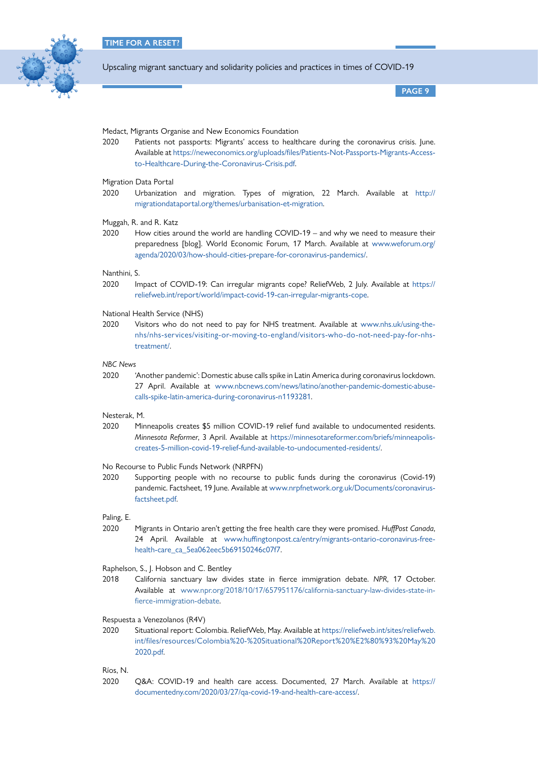

**PAGE 9**

#### Medact, Migrants Organise and New Economics Foundation

2020 Patients not passports: Migrants' access to healthcare during the coronavirus crisis. June. Available at [https://neweconomics.org/uploads/files/Patients-Not-Passports-Migrants-Access](https://neweconomics.org/uploads/files/Patients-Not-Passports-Migrants-Access-to-Healthcare-During-the-Coronavirus-Crisis.pdf)[to-Healthcare-During-the-Coronavirus-Crisis.pdf](https://neweconomics.org/uploads/files/Patients-Not-Passports-Migrants-Access-to-Healthcare-During-the-Coronavirus-Crisis.pdf).

## Migration Data Portal

- 2020 Urbanization and migration. Types of migration, 22 March. Available at [http://](http://migrationdataportal.org/themes/urbanisation-et-migration) [migrationdataportal.org/themes/urbanisation-et-migration](http://migrationdataportal.org/themes/urbanisation-et-migration).
- Muggah, R. and R. Katz
- 2020 How cities around the world are handling COVID-19 and why we need to measure their preparedness [blog]. World Economic Forum, 17 March. Available at [www.weforum.org/](http://www.weforum.org/agenda/2020/03/how-should-cities-prepare-for-coronavirus-pandemics/) [agenda/2020/03/how-should-cities-prepare-for-coronavirus-pandemics/](http://www.weforum.org/agenda/2020/03/how-should-cities-prepare-for-coronavirus-pandemics/).

## Nanthini, S.

2020 Impact of COVID-19: Can irregular migrants cope? ReliefWeb, 2 July. Available at [https://](https://reliefweb.int/report/world/impact-covid-19-can-irregular-migrants-cope) [reliefweb.int/report/world/impact-covid-19-can-irregular-migrants-cope](https://reliefweb.int/report/world/impact-covid-19-can-irregular-migrants-cope).

#### National Health Service (NHS)

2020 Visitors who do not need to pay for NHS treatment. Available at [www.nhs.uk/using-the](http://www.nhs.uk/using-the-nhs/nhs-services/visiting-or-moving-to-england/visitors-who-do-not-need-pay-for-nhs-treatment/)[nhs/nhs-services/visiting-or-moving-to-england/visitors-who-do-not-need-pay-for-nhs](http://www.nhs.uk/using-the-nhs/nhs-services/visiting-or-moving-to-england/visitors-who-do-not-need-pay-for-nhs-treatment/)[treatment/.](http://www.nhs.uk/using-the-nhs/nhs-services/visiting-or-moving-to-england/visitors-who-do-not-need-pay-for-nhs-treatment/)

## *NBC News*

2020 'Another pandemic': Domestic abuse calls spike in Latin America during coronavirus lockdown. 27 April. Available at [www.nbcnews.com/news/latino/another-pandemic-domestic-abuse](http://www.nbcnews.com/news/latino/another-pandemic-domestic-abuse-calls-spike-latin-america-during-coronavirus-n1193281)[calls-spike-latin-america-during-coronavirus-n1193281](http://www.nbcnews.com/news/latino/another-pandemic-domestic-abuse-calls-spike-latin-america-during-coronavirus-n1193281).

#### Nesterak, M.

2020 Minneapolis creates \$5 million COVID-19 relief fund available to undocumented residents. *Minnesota Reformer*, 3 April. Available at [https://minnesotareformer.com/briefs/minneapolis](https://minnesotareformer.com/briefs/minneapolis-creates-5-million-covid-19-relief-fund-available-to-undocumented-residents/)[creates-5-million-covid-19-relief-fund-available-to-undocumented-residents/](https://minnesotareformer.com/briefs/minneapolis-creates-5-million-covid-19-relief-fund-available-to-undocumented-residents/).

#### No Recourse to Public Funds Network (NRPFN)

2020 Supporting people with no recourse to public funds during the coronavirus (Covid-19) pandemic. Factsheet, 19 June. Available at [www.nrpfnetwork.org.uk/Documents/coronavirus](http://www.nrpfnetwork.org.uk/Documents/coronavirus-factsheet.pdf)[factsheet.pdf](http://www.nrpfnetwork.org.uk/Documents/coronavirus-factsheet.pdf).

#### Paling, E.

2020 Migrants in Ontario aren't getting the free health care they were promised. *HuffPost Canada*, 24 April. Available at [www.huffingtonpost.ca/entry/migrants-ontario-coronavirus-free](http://www.huffingtonpost.ca/entry/migrants-ontario-coronavirus-free-health-care_ca_5ea062eec5b69150246c07f7)[health-care\\_ca\\_5ea062eec5b69150246c07f7](http://www.huffingtonpost.ca/entry/migrants-ontario-coronavirus-free-health-care_ca_5ea062eec5b69150246c07f7).

#### Raphelson, S., J. Hobson and C. Bentley

- 2018 California sanctuary law divides state in fierce immigration debate. *NPR*, 17 October. Available at [www.npr.org/2018/10/17/657951176/california-sanctuary-law-divides-state-in](https://www.npr.org/2018/10/17/657951176/california-sanctuary-law-divides-state-in-fierce-immigration-debate)[fierce-immigration-debate.](https://www.npr.org/2018/10/17/657951176/california-sanctuary-law-divides-state-in-fierce-immigration-debate)
- Respuesta a Venezolanos (R4V)
- 2020 Situational report: Colombia. ReliefWeb, May. Available at [https://reliefweb.int/sites/reliefweb.](https://reliefweb.int/sites/reliefweb.int/files/resources/Colombia%20-%20Situational%20Report%20%E2%80%93%20May%202020.pdf) [int/files/resources/Colombia%20-%20Situational%20Report%20%E2%80%93%20May%20](https://reliefweb.int/sites/reliefweb.int/files/resources/Colombia%20-%20Situational%20Report%20%E2%80%93%20May%202020.pdf) [2020.pdf.](https://reliefweb.int/sites/reliefweb.int/files/resources/Colombia%20-%20Situational%20Report%20%E2%80%93%20May%202020.pdf)

## Ríos, N.

2020 Q&A: COVID-19 and health care access. Documented, 27 March. Available at [https://](https://documentedny.com/2020/03/27/qa-covid-19-and-health-care-access/) [documentedny.com/2020/03/27/qa-covid-19-and-health-care-access/.](https://documentedny.com/2020/03/27/qa-covid-19-and-health-care-access/)